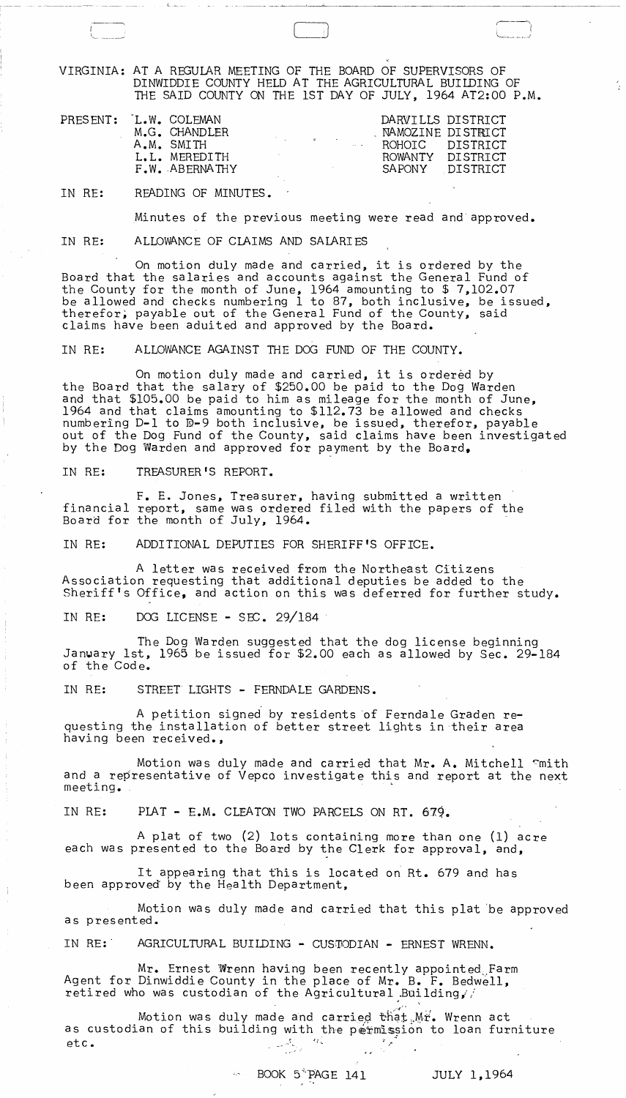VIRGINIA: AT A REGULAR MEETING OF THE BOARD OF SUPERVISORS OF DINWIDDIE COUNTY HELD AT THE AGRICULTURAL BUILDING OF

|                        |            |                                                  |                                                                                                                                   |                                                                                                        |  | THE SAID COUNTY ON THE 1ST DAY OF JULY, 1964 AT2:00 P.M.                                         |  |  |
|------------------------|------------|--------------------------------------------------|-----------------------------------------------------------------------------------------------------------------------------------|--------------------------------------------------------------------------------------------------------|--|--------------------------------------------------------------------------------------------------|--|--|
| PRESENT: 'L.W. COLEMAN | A.M. SMITH | M.G. CHANDLER<br>L.L. MEREDITH<br>F.W. ABERNATHY | $\mathcal{A}^{\mathcal{A}}$ , and $\mathcal{A}^{\mathcal{A}}$ , and $\mathcal{A}^{\mathcal{A}}$ , and $\mathcal{A}^{\mathcal{A}}$ | $\mathcal{O}(\mathcal{O}_\mathcal{O})$ . The set of $\mathcal{O}_\mathcal{O}(\mathcal{O}_\mathcal{O})$ |  | DARVILLS DISTRICT<br>NAMOZINE DISTRICT<br>ROHOIC DISTRICT<br>ROWANTY DISTRICT<br>SAPONY DISTRICT |  |  |

IN RE: READING OF MINUTES.

 $L = L$ 

 $\overline{\phantom{a}}$ 

Minutes of the previous meeting were read and approved.

IN RE: ALLOWANCE OF CLAIMS AND SALARIES

On motion duly made and carried, it is ordered by the Board that the salaries and accounts against the General Fund of the County for the month of June, 1964 amounting to \$ 7,102.07 be allowed and checks numbering 1 to 87, both inclusive, be issued, therefor; payable out of the General Fund of the County, said claims have been aduited and approved by the Board.

IN RE: ALLOWANCE AGAINST THE DOG FUND OF THE COUNTY.

On motion duly made and carried, it is ordered by the Board that the salary of \$250.00 be paid to the Dog Warden and that \$105.00 be paid to him as mileage for the month of June, 1964 and that claims amounting to \$112.73 be allowed and checks numbering D-1 to D-9 both inclusive, be issued, therefor, payable out of the Dog Fund of the County, said claims have been investigated by the Dog Warden and approved for payment by the Board,

IN RE: TREASURER'S REPORT.

F. E. Jones, Treasurer, having submitted a written financial report, same was ordered filed with the papers of the Board for the month of July, 1964.

IN RE: ADDITIONAL DEPUTIES FOR SHERIFF'S OFFICE.

A letter was received from the Northeast Citizens Association requesting that additional deputies be added to the Sheriff's Office, and action on this was deferred for further study.

IN RE: DOG LICENSE - SEC.  $29/184$ 

The Dog Warden suggested that the dog license beginning Janwary 1st, 1965 be issued for \$2.00 each as allowed by Sec. 29-184 of the Code.

IN RE: STREET LIGHTS - FERNDALE GARDENS.

A petition signed by residents 'of Ferndale Graden requesting the installation of better street lights in their area having been received.,

Motion was duly made and carried that Mr. A. Mitchell ~mith and a representative of Vepco investigate this and report at the next meeting.

IN RE: PLAT - E.M. CLEATON TWO PARCELS ON RT. 679.

A plat of two (2) lots containing more than one (1) acre each was presented to the Board by the Clerk for approval, and,

It appearing that this is located on Rt. 679 and has been approved by the Health Department,

Motion was duly made and carried that this plat 'be approved as presented.

IN RE: AGRICULTURAL BUILDING - CUSTODIAN - ERNEST WRENN.

Mr. Ernest Wrenn having been recently appointed<sub>;</sub>Farm<br>Agent for Dinwiddie County in the place of Mr. B. F. Bedwell, retired who was custodian of the Agricultural .Building,

Motion was duly made and carried that  $Mr$ . Wrenn act as custodian of this building with the permission to loan furniture  $etc.$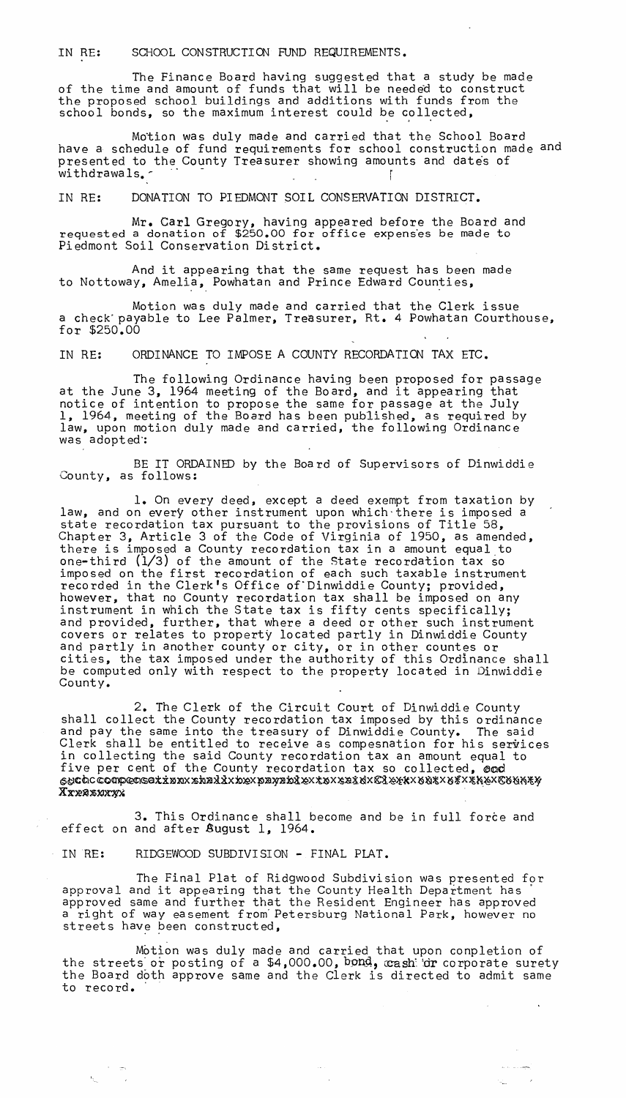IN RE: SCHOOL CONSTRUCTION FUND REQUIREMENTS.

The Finance Board having suggested that a study be made of the time and amount of funds that will be needed to construct the proposed school buildings and additions with funds from the school bonds, so the maximum interest could be collected,

Motion was duly made and carried that the School Board have a schedule of fund requirements for school construction made and presented to the County Treasurer showing amounts and dates of withdrawals.

IN RE: DONATION TO PIEDMONT SOIL CONSERVATION DISTRICT.

Mr. Carl Gregory, having appeared before the Board and requested a donation of \$250.00 for office expenses be made to Piedmont Soil Conservation District.

And it appearing that the same request has been made to Nottoway, Amelia, Powhatan and Prince Edward Counties,

Motion was duly made and carried that the Clerk issue a check' payable to Lee Palmer, Treasurer, Rt. 4 Powhatan Courthouse, for  $$250,00$ 

IN RE: ORDINANCE TO IMPOSE A COUNTY RECORDATION TAX ETC.

The following Ordinance having been proposed for passage at the June 3, 1964 meeting of the Board, and it appearing that notice of intention to propose the same for passage at the July 1, 1964, meeting of the Board has been pub1ished, as required by law, upon motion duly made and carried, the following Ordinance law, upon motion duly made and carried, the following Ordinance<br>was adopted:

BE IT ORDAINED by the Board of Supervisors of Dinwiddie County, as follows:

1. On every deed, except a deed exempt from taxation by law, and on every other instrument upon which there is imposed a state recordation tax pursuant to the provisions of Title 58, Chapter 3, Article 3 of the Code of Virginia of 1950, as amended, there is imposed a County recordation tax in a amount equal to one-third  $(1/3)$  of the amount of the State recordation tax so imposed on the first recordation of each such taxable instrument recorded in the Clerk's Office of " Dinwiddie County; provided, however, that no County recordation tax shall be imposed on any instrument in which the State tax is fifty cents specifically; and provided, further, that where a deed or other such instrument covers or relates to property located partly in Dinwiddie County and partly in another county or city, or in other countes or cities, the tax imposed under the authority of this Ordinance shall be computed only with respect to the property located in Dinwiddie County.

2. The Clerk of the Circuit Court of Dinwiddie County shall collect the County recordation tax imposed by this ordinance and pay the same into the treasury of Dinwiddie County. The said Clerk shall be entitled to receive as compesnation for his services in collecting the said County recordation tax an amount equal to five per cent of the County recordation tax so collected, end  $~\epsilon$ etiCac competisax $x$ xbr $x$ xbr $x$ k $x$ pr $y$ rb $x$ z $x$ x $x$ s $x$ s z $x$ k $x$ z $y$ z $x$ z $x$ k $y$ z $x$ z $y$ z $x$ k $y$ Xxxxxxxx

3. This Ordinance shall become and be in full force and effect on and after  $\&$ ugust 1, 1964.

IN RE: RIDGEWOOD SUBDIVISION - FINAL PLAT.

The Final Plat of Ridgwood Subdivision was presented for approval and it appearing that the County Health Department has' approved same and further that the Resident Engineer has approved a right of way easement from' Petersburg National Park, however no streets have been constructed,

Motion was duly made and carried that upon conpletion of the streets or posting of a  $$4,000.00$ , bond, cash or corporate surety the Board doth approve same and the Clerk is directed to admit same<br>to record.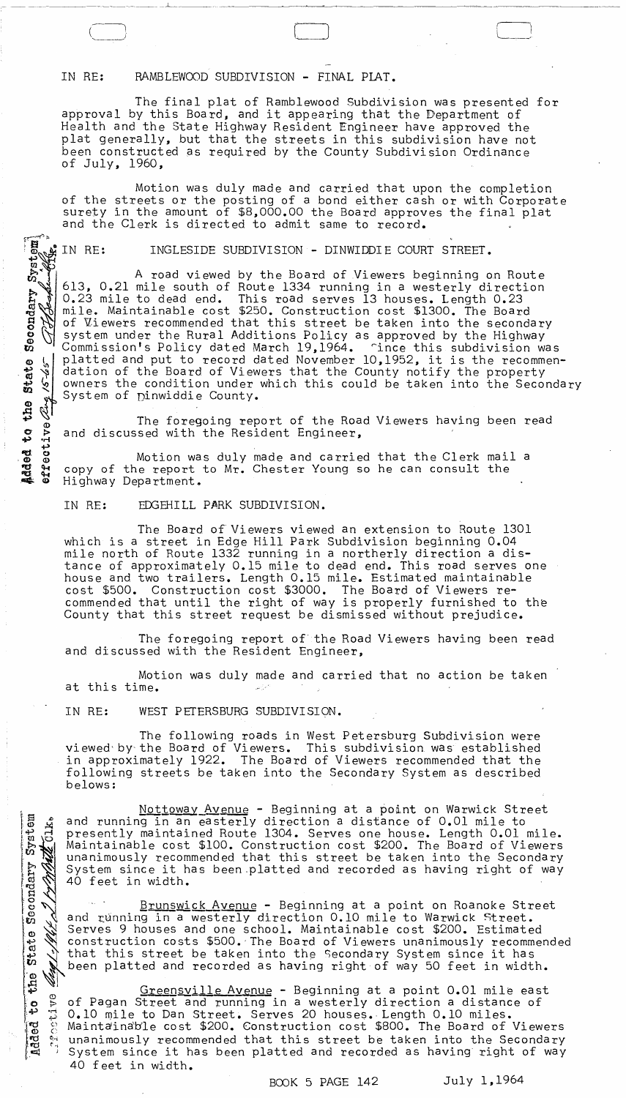## IN RE: RAMBLEWOOD SUBDIVISION - FINAL PLAT.

The final plat of Ramblewood Subdivision was presented for approval by this Board, and it appearing that the Department of Health and the State Highway Resident Engineer have approved the plat generally, but that the streets in this subdivision have not been constructed as required by the County Subdivision Ordinance of July, 1960,

 $\left( \begin{array}{cccc} \bullet & \bullet & \bullet & \bullet \end{array} \right)$  $\begin{pmatrix} \frac{1}{2} & \frac{1}{2} & \frac{1}{2} & \frac{1}{2} & \frac{1}{2} & \frac{1}{2} & \frac{1}{2} & \frac{1}{2} & \frac{1}{2} & \frac{1}{2} & \frac{1}{2} & \frac{1}{2} & \frac{1}{2} & \frac{1}{2} & \frac{1}{2} & \frac{1}{2} & \frac{1}{2} & \frac{1}{2} & \frac{1}{2} & \frac{1}{2} & \frac{1}{2} & \frac{1}{2} & \frac{1}{2} & \frac{1}{2} & \frac{1}{2} & \frac{1}{2} & \frac{1}{2$ 

Motion was duly made and carried that upon the completion of the streets or the posting of a bond either cash or with Corporate and the Clerk is directed to admit same to record.

INGLESIDE SUBDIVISION - DINWIDDIE COURT STREET.

surety in the amount of \$8,000.00 the Board approves the final plat<br>sure the Clerk is directed to admit same to record.<br>The surface of  $\frac{1}{2}$  in RE: INGLESIDE SUBDIVISION - DINWIDDIE COURT STREET.<br>Example 11 Record of V A road viewed by the Board of Viewers beginning on Route 613, 0.21 mile south of Route 1334 running in a westerly direction 0.23 mile to dead end. This road serves 13 houses. Length 0.23 mile. Maintainable cost \$250. Construction cost \$1300. The Board of Viewers recommended that this street be taken into the secondary system under the Rural Additions Policy as approved by the Highway Commission's Policy dated March 19,1964. ~ince this subdivision was platted and put to record dated November 10,1952, it is the recommendation of the Board of Viewers that the County notify the property owners the condition under which this could be taken into the Secondary System of Dinwiddie County.

The foregoing report of the Road Viewers having been read and discussed with the Resident Engineer,

Motion was duly made and carried that the Clerk mail a copy of the report to Mr. Chester Young so he can consult the Highway Department.

IN RE: EDGEHILL PARK SUBDIVISION.

The Board of Viewers viewed an extension to Route 1301 which is a street in Edge Hill Park Subdivision beginning 0.04 mile north of Route 1332 running in a northerly direction a distance of approximately 0.15 mile to dead end. This road serves one house and two trailers. Length 0.15 mile. Estimated maintainable cost \$500. Construction cost \$3000. The Board of Viewers recommended that until the right of way is properly furnished to the County that this street request be dismissed without prejudice.

The foregoing report of' the Road Viewers having been read and discussed with the Resident Engineer,

Motion was duly made and carried that no action be taken at this time.

IN RE: WEST PETERSBURG SUBDIVISION.

The following roads in West Petersburg Subdivision were viewed' by' the Board of Viewers. This subdivision was established in approximately 1922. The Board of Viewers recommended that the following streets be taken into the Secondary System as described belows:

Nottoway Avenue - Beginning at a point on Warwick Street دي Nottoway Avenue - Beginning at a point on Warwick Street<br>5 ق and running in an easterly direction a distance of 0.01 mile to fraction maintained Route 1304. Serves one house. Length 0.01 mile. It and running in an easterly direction a distance of 0.01 mile to<br>
We University maintained Route 1304. Serves one house. Length 0.01 mile.<br>
We Maintainable cost \$100. Construction cost \$200. The Board of Viewers<br>
We unan unanimously recommended that this street be taken into the Secondary<br>System since it has been platted and recorded as having right of way<br>40 feet in width.<br><u>Brunswick Ayenue</u> - Beginning at a point on Roanoke Street System since it has been platted and recorded as having right of way 40 feet in width.

\\] Brunswick Avenue - Beginning at a point on Roanoke Street  $g \searrow$  and running in a westerly direction 0.10 mile to Warwick Street.<br>  $g \searrow$  Serves 9 houses and one school. Maintainable cost \$200. Estimated Serves 9 houses and one school. Maintainable cost \$200. Estimated<br>
construction costs \$500. The Board of Viewers unanimously recommended<br>
that this street be taken into the Secondary System since it has<br>
been platted and r o Construction costs \$500. The Board of viewers unanimously recomments of that this street be taken into the Secondary System since it has to the platted and recorded as having right of way 50 feet in width.

Greensville Avenue - Beginning at a point 0.01 mile east o <sup>o</sup> of Pagan Street and running in a westerly direction a distance of  $\begin{bmatrix} 1 & 0 & 1 \\ 0 & 1 & 0 \\ 0 & 1 & 0 \end{bmatrix}$  of the to Dan Street. Serves 20 houses. Length 0.10 miles. IE  $\frac{1}{2}$  Maintainable cost \$200. Construction cost \$800. The Board of Viewers was streaming to be a secondary construction cost \$800. The Board of Viewers<br>Be a unanimously recommended that this street be taken into the Secondary<br>Eq System since it has been platted and recorded as having right of way System since it has been platted and recorded as having right of way 40 feet in width.

BOOK 5 PAGE 142 July 1,1964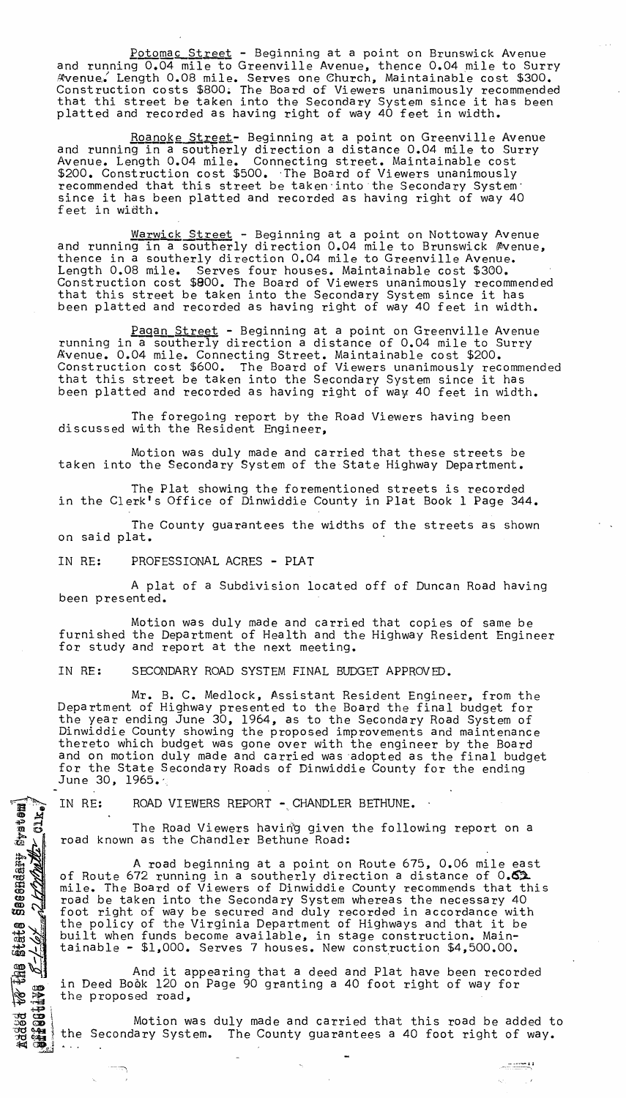Potomac Street - Beginning at a point on Brunswick Avenue and running 0.04 mile to Greenville Avenue, thence 0.04 mile to Surry ~venue,: Length 0.08 mile. Serves one ehurch, Maintainable cost \$300. Construction costs \$800~ The Board of Viewers unanimously recommended that thi street be taken into the Secondary System since it has been platted and recorded as having right of way 40 feet in width.

Roanoke Street- Beginning at a point on Greenville Avenue and running in a southerly direction a distance 0.04 mile to Surry Avenue. Length 0.04 mile. Connecting street. Maintainable cost \$200. Construction cost \$500. The Board of Viewers unanimously recommended that this street be taken into the Secondary System' since it has been platted and recorded as having right of way 40 feet in width.

Warwick Street - Beginning at a point on Nottoway Avenue and running in a southerly direction 0.04 mile to Brunswick Avenue, thence in a southerly direction 0.04 mile to Greenville Avenue. Length 0.08 mile. Serves four houses. Maintainable cost \$300. Construction cost \$800. The Board of Viewers unanimously recommended that this street be taken into the Secondary System since it has been platted and recorded as having right of way 40 feet in width.

Pagan Street - Beginning at a point on Greenville Avenue running in a southerly direction a distance of 0.04 mile to Surry Avenue. 0.04 mile. Connecting Street. Maintainable cost \$200. Construction cost \$600. The Board of Viewers unanimously recommended that this street be taken into the Secondary System since it has been platted and recorded as having right of way. 40 feet in width.

The foregoing report by the Road Viewers having been discussed with the Resident Engineer,

Motion was duly made and carried that these streets be taken into the Secondary System of the State Highway Department.

The Plat showing the forementioned streets is recorded in the Clerk's Office of Dinwiddie County in Plat Book 1 Page 344.

The County guarantees the widths of the streets as shown on said plat.

IN RE: PROFESSIONAL ACRES - PLAT

 $\sim$ I

jecendary system)

**BUT** 

 $\triangledown$ w.  $\boldsymbol{\omega}$ State

881<br>B

A plat of a Subdivision located off of Duncan Road having been presented.

Motion was duly made and carried that copies of same be furnished the Department of Health and the Highway Resident Engineer for study and report at the next meeting.

IN RE: SECONDARY ROAD SYSTEM FINAL BUDGET APPROVED.

Mr. B. C. Medlock, Assistant Resident Engineer, from the Department of Highway presented to the Board the final budget for the year ending June 30, 1964, as to the Secondary Road System of Dinwiddie County showing the proposed improvements and maintenance thereto which budget was gone over with the engineer by the Board and on motion duly made and carried was 'adopted as the final budget for the State Secondary Roads of Dinwiddie County for the ending June 30, 1965.

IN RE: ROAD VIEWERS REPORT - CHANDLER BETHUNE.

The Road Viewers having given the following report on a road known as the Chandler Bethune Road:

A road beginning at a point on Route 675, 0.06 mile east of Route 672 running in a southerly direction a distance of 0.62 of house one running in a southerry orrestion a discusse of or state. road be taken into the Secondary System whereas the necessary 40 foot right of way be secured and duly recorded in accordance with the policy of the Virginia Department of Highways and that it be built when funds become available, in stage construction. Mainedito when fance accessing eventsing, in soage construction \$4,500.00.

And it appearing that a deed and Plat have been recorded in Deed Book 120 on Page 90 granting a 40 foot right of way for the proposed road,

Motion was duly made and carried that this road be added to the Secondary System. The County guarantees a 40 foot right of way.

-----11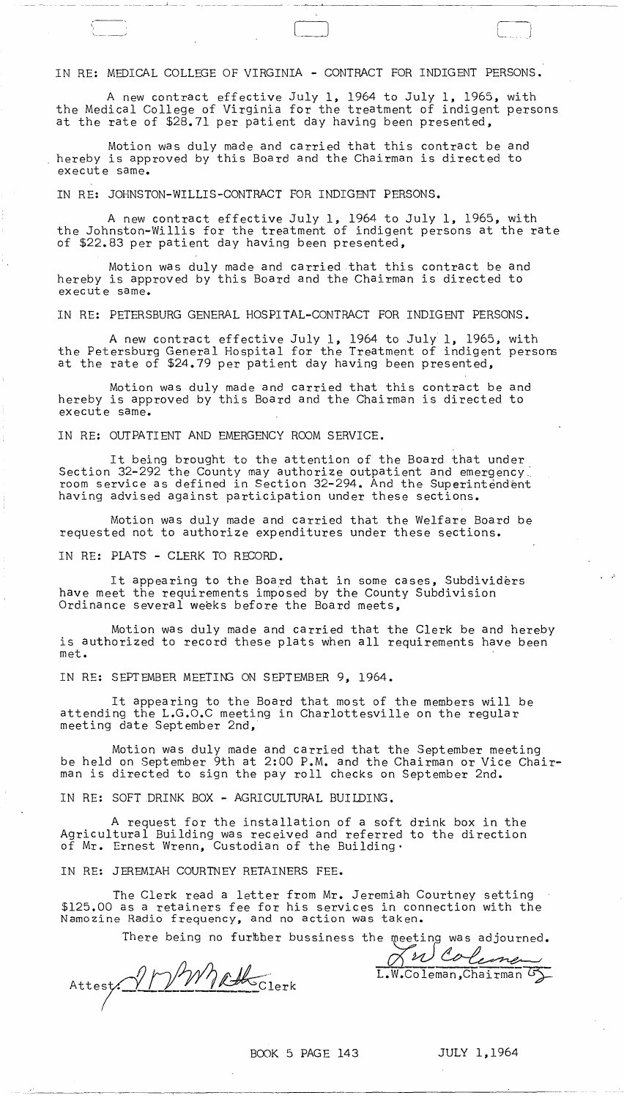## IN RE: MEDICAL COLLEGE OF VIRGINIA - CONTRACT FOR INDIGENT PERSONS.

A new contract effective July 1, 1964 to July 1, 1965, with the Medical College of Virginia for the treatment of indigent persons at the rate of \$28.71 per patient day having been presented,

\_\_\_\_\_\_\_\_ . \_\_\_ . \_\_ .\_. \_\_\_\_\_\_ 1 \_\_\_ .\_ \_. \_\_\_\_\_\_\_\_\_\_\_ ~\_~ --.~---~----------c\_\_----

(----  $\lfloor \cdot \rfloor$ 

Motion was duly made and carried that this contract be and hereby is approved by this Board and the Chairman is directed to execut e same.

IN RE: JOHNSTON-WILLIS-CONTRACT FOR INDIGENT PERSONS.

A new contract effective July 1, 1964 to July 1, 1965, with the Johnston-Willis for the treatment of indigent persons at the rate of \$22.83 per patient day having been presented,

Motion was duly made and carried that this contract be and hereby is approved by this Board and the Chairman is directed to execut e same.

IN RE: PETERSBURG GENERAL HOSPITAL-CONTRACT FOR INDIGENT PERSONS.

A new contract effective July 1, 1964 to July 1, 1965, with the Petersburg General Hospital for the Treatment of indigent persons at the rate of \$24.79 per patient day having been presented,

Motion was duly made and carried that this contract be and hereby is approved by this Board and the Chairman is directed to execute same.

IN RE: OUTPATIENT AND EMERGENCY ROOM SERVICE.

It being brought to the attention of the Board that under Section 32-292 the County may authorize outpatient and emergency. room service as defined in Section 32-294. And the Superintendent having advised against participation under these sections.

Motion was duly made and carried that the Welfare Board be requested not to authorize expenditures under these sections.

IN RE: PLATS - CLERK TO RECORD.

,---,

"

It appearing to the Board that in some cases, Subdividers have meet the requirements imposed by the County Subdivision Ordinance several weeks before the Board meets,

Motion was duly made and carried that the Clerk be and hereby is authorized to record these plats when all requirements have been met.

IN RE: SEPTEMBER MEETING ON SEPTEMBER 9, 1964.

It appearing to the Board that most of the members will be attending the L.G.O.C meeting in Charlottesville on the regular meeting date September 2nd,

Motion was duly made and carried that the September meeting be held on September 9th at 2:00 P.M. and the Chairman or Vice Chairman is directed to sign the pay roll checks on September 2nd.

IN RE: SOFT DRINK BOX - AGRICULTURAL BUILDING.

A request for the installation of a soft drink box in the Agricultural Building was received and referred to the direction of Mr. Ernest Wrenn, Custodian of the Building·

IN RE: JEREMIAH COURTNEY RETAINERS FEE.

The Clerk read a letter from Mr. Jeremiah Courtney \$125.00 as a retainers fee for his services in connection with the Namozine Radio frequency, and no action was taken. The Clerk read a letter from Mr. Jeremiah Courtney setting in connection with the<br>taken.<br>e meeting was adjourned.<br> $\frac{\sqrt{2}}{\sqrt{2}}\frac{\sqrt{2}}{\sqrt{2}}\frac{\sqrt{2}}{\sqrt{2}}$ <br>I.W.Coleman,Chairman G

There being no further bussiness the meeting was adjourned.

Attest.

BOOK 5 PAGE 143 JULY 1,1964